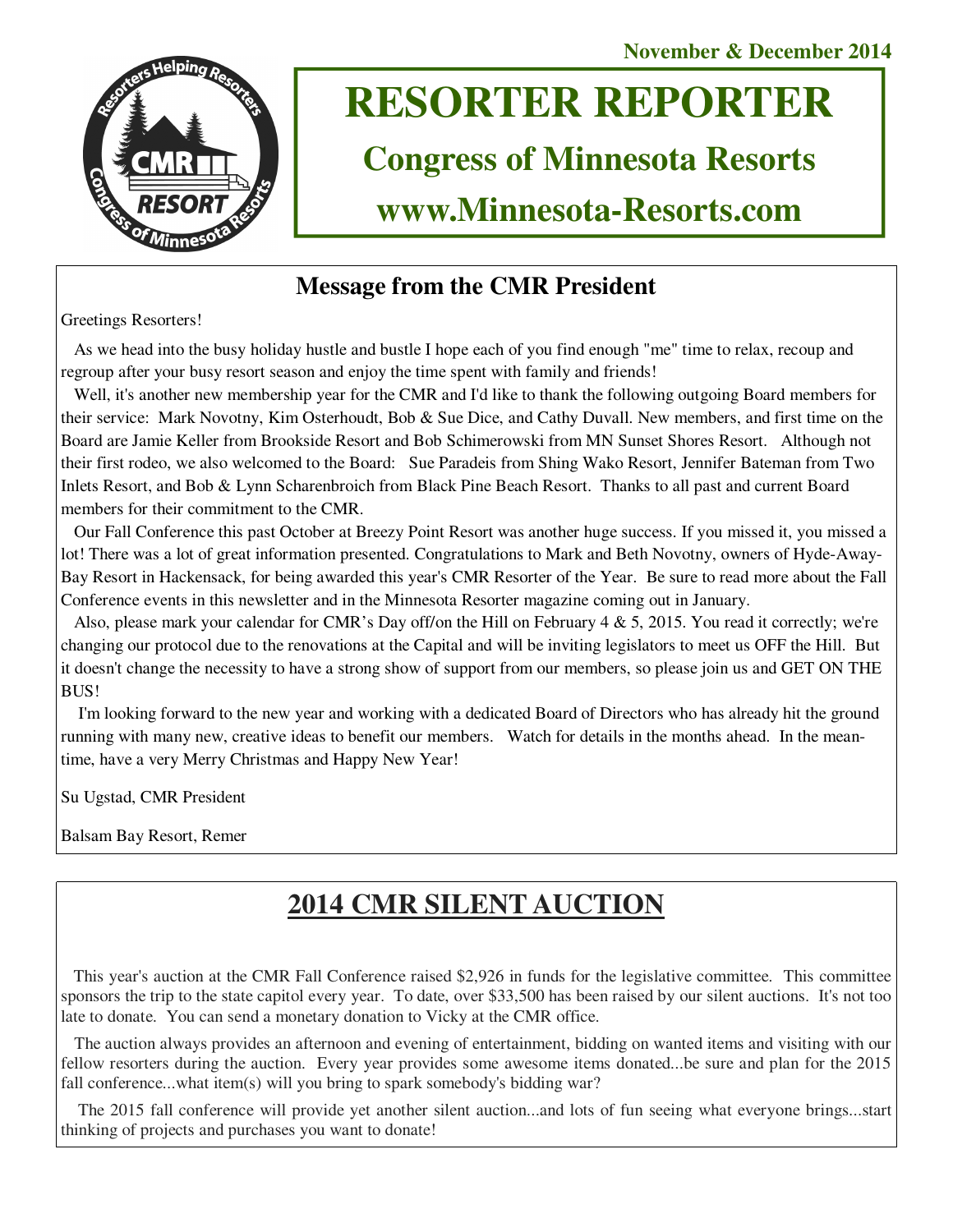

# **RESORTER REPORTER**

# **Congress of Minnesota Resorts**

**www.Minnesota-Resorts.com** 

# **Message from the CMR President**

Greetings Resorters!

 As we head into the busy holiday hustle and bustle I hope each of you find enough "me" time to relax, recoup and regroup after your busy resort season and enjoy the time spent with family and friends!

Well, it's another new membership year for the CMR and I'd like to thank the following outgoing Board members for their service: Mark Novotny, Kim Osterhoudt, Bob & Sue Dice, and Cathy Duvall. New members, and first time on the Board are Jamie Keller from Brookside Resort and Bob Schimerowski from MN Sunset Shores Resort. Although not their first rodeo, we also welcomed to the Board: Sue Paradeis from Shing Wako Resort, Jennifer Bateman from Two Inlets Resort, and Bob & Lynn Scharenbroich from Black Pine Beach Resort. Thanks to all past and current Board members for their commitment to the CMR.

 Our Fall Conference this past October at Breezy Point Resort was another huge success. If you missed it, you missed a lot! There was a lot of great information presented. Congratulations to Mark and Beth Novotny, owners of Hyde-Away-Bay Resort in Hackensack, for being awarded this year's CMR Resorter of the Year. Be sure to read more about the Fall Conference events in this newsletter and in the Minnesota Resorter magazine coming out in January.

 Also, please mark your calendar for CMR's Day off/on the Hill on February 4 & 5, 2015. You read it correctly; we're changing our protocol due to the renovations at the Capital and will be inviting legislators to meet us OFF the Hill. But it doesn't change the necessity to have a strong show of support from our members, so please join us and GET ON THE BUS!

 I'm looking forward to the new year and working with a dedicated Board of Directors who has already hit the ground running with many new, creative ideas to benefit our members. Watch for details in the months ahead. In the meantime, have a very Merry Christmas and Happy New Year!

Su Ugstad, CMR President

Balsam Bay Resort, Remer

# **2014 CMR SILENT AUCTION**

 This year's auction at the CMR Fall Conference raised \$2,926 in funds for the legislative committee. This committee sponsors the trip to the state capitol every year. To date, over \$33,500 has been raised by our silent auctions. It's not too late to donate. You can send a monetary donation to Vicky at the CMR office.

 The auction always provides an afternoon and evening of entertainment, bidding on wanted items and visiting with our fellow resorters during the auction. Every year provides some awesome items donated...be sure and plan for the 2015 fall conference...what item(s) will you bring to spark somebody's bidding war?

 The 2015 fall conference will provide yet another silent auction...and lots of fun seeing what everyone brings...start thinking of projects and purchases you want to donate!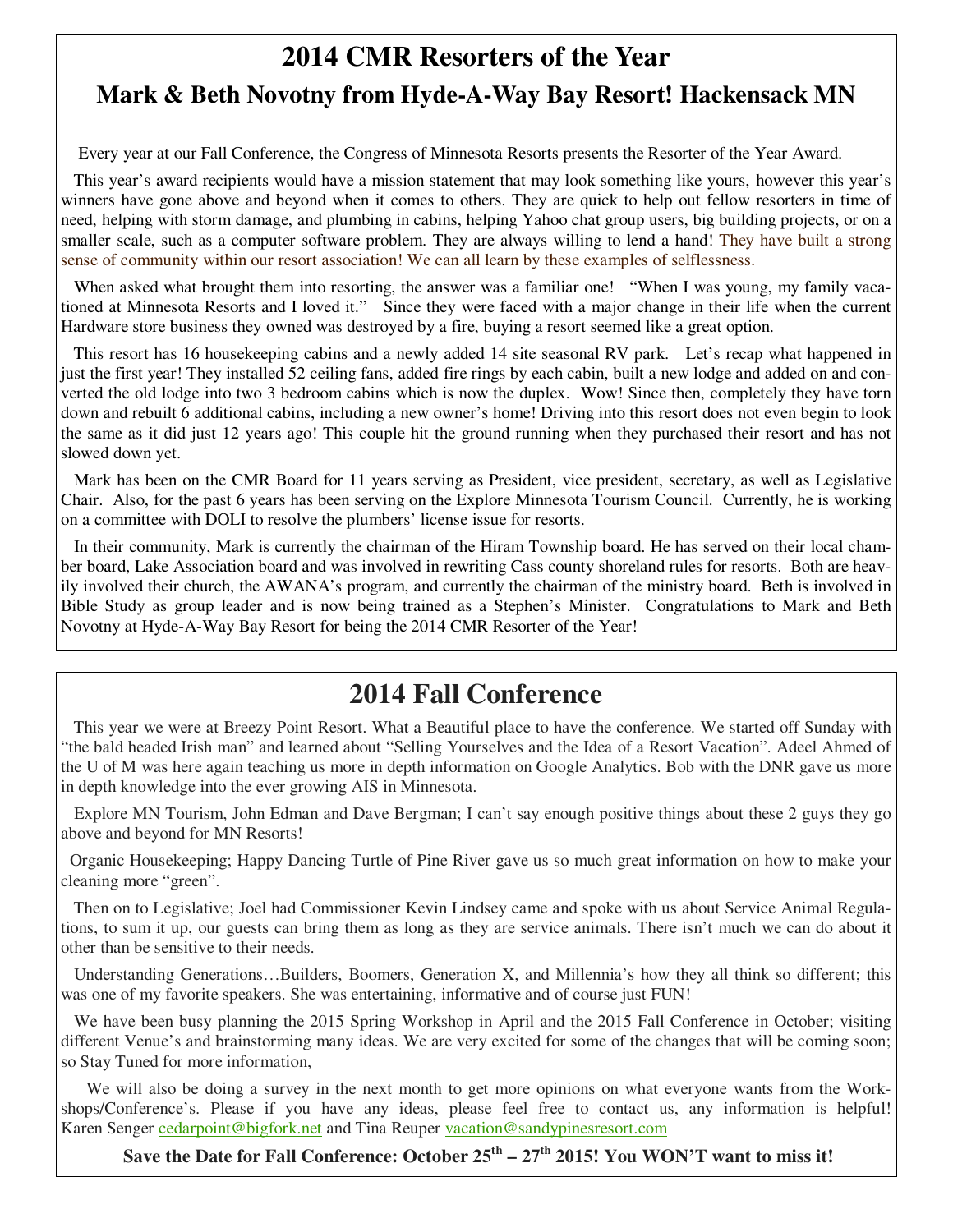# **2014 CMR Resorters of the Year Mark & Beth Novotny from Hyde-A-Way Bay Resort! Hackensack MN**

Every year at our Fall Conference, the Congress of Minnesota Resorts presents the Resorter of the Year Award.

 This year's award recipients would have a mission statement that may look something like yours, however this year's winners have gone above and beyond when it comes to others. They are quick to help out fellow resorters in time of need, helping with storm damage, and plumbing in cabins, helping Yahoo chat group users, big building projects, or on a smaller scale, such as a computer software problem. They are always willing to lend a hand! They have built a strong sense of community within our resort association! We can all learn by these examples of selflessness.

When asked what brought them into resorting, the answer was a familiar one! "When I was young, my family vacationed at Minnesota Resorts and I loved it." Since they were faced with a major change in their life when the current Hardware store business they owned was destroyed by a fire, buying a resort seemed like a great option.

 This resort has 16 housekeeping cabins and a newly added 14 site seasonal RV park. Let's recap what happened in just the first year! They installed 52 ceiling fans, added fire rings by each cabin, built a new lodge and added on and converted the old lodge into two 3 bedroom cabins which is now the duplex. Wow! Since then, completely they have torn down and rebuilt 6 additional cabins, including a new owner's home! Driving into this resort does not even begin to look the same as it did just 12 years ago! This couple hit the ground running when they purchased their resort and has not slowed down yet.

 Mark has been on the CMR Board for 11 years serving as President, vice president, secretary, as well as Legislative Chair. Also, for the past 6 years has been serving on the Explore Minnesota Tourism Council. Currently, he is working on a committee with DOLI to resolve the plumbers' license issue for resorts.

 In their community, Mark is currently the chairman of the Hiram Township board. He has served on their local chamber board, Lake Association board and was involved in rewriting Cass county shoreland rules for resorts. Both are heavily involved their church, the AWANA's program, and currently the chairman of the ministry board. Beth is involved in Bible Study as group leader and is now being trained as a Stephen's Minister. Congratulations to Mark and Beth Novotny at Hyde-A-Way Bay Resort for being the 2014 CMR Resorter of the Year!

# **2014 Fall Conference**

 This year we were at Breezy Point Resort. What a Beautiful place to have the conference. We started off Sunday with "the bald headed Irish man" and learned about "Selling Yourselves and the Idea of a Resort Vacation". Adeel Ahmed of the U of M was here again teaching us more in depth information on Google Analytics. Bob with the DNR gave us more in depth knowledge into the ever growing AIS in Minnesota.

 Explore MN Tourism, John Edman and Dave Bergman; I can't say enough positive things about these 2 guys they go above and beyond for MN Resorts!

 Organic Housekeeping; Happy Dancing Turtle of Pine River gave us so much great information on how to make your cleaning more "green".

 Then on to Legislative; Joel had Commissioner Kevin Lindsey came and spoke with us about Service Animal Regulations, to sum it up, our guests can bring them as long as they are service animals. There isn't much we can do about it other than be sensitive to their needs.

 Understanding Generations…Builders, Boomers, Generation X, and Millennia's how they all think so different; this was one of my favorite speakers. She was entertaining, informative and of course just FUN!

 We have been busy planning the 2015 Spring Workshop in April and the 2015 Fall Conference in October; visiting different Venue's and brainstorming many ideas. We are very excited for some of the changes that will be coming soon; so Stay Tuned for more information,

 We will also be doing a survey in the next month to get more opinions on what everyone wants from the Workshops/Conference's. Please if you have any ideas, please feel free to contact us, any information is helpful! Karen Senger cedarpoint@bigfork.net and Tina Reuper vacation@sandypinesresort.com

**Save the Date for Fall Conference: October 25th – 27th 2015! You WON'T want to miss it!**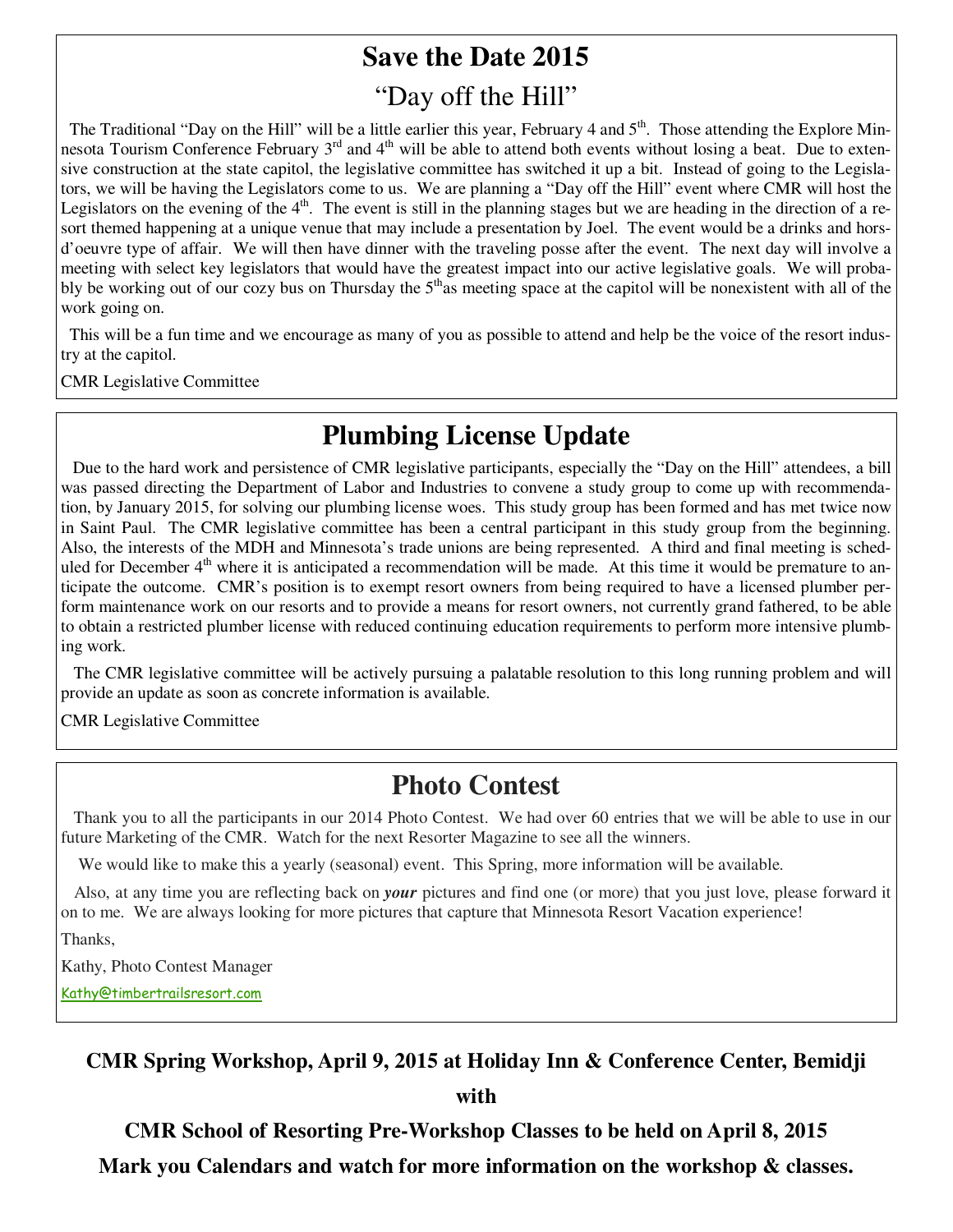# **Save the Date 2015**  "Day off the Hill"

The Traditional "Day on the Hill" will be a little earlier this year, February 4 and  $5<sup>th</sup>$ . Those attending the Explore Minnesota Tourism Conference February 3<sup>rd</sup> and 4<sup>th</sup> will be able to attend both events without losing a beat. Due to extensive construction at the state capitol, the legislative committee has switched it up a bit. Instead of going to the Legislators, we will be having the Legislators come to us. We are planning a "Day off the Hill" event where CMR will host the Legislators on the evening of the  $4<sup>th</sup>$ . The event is still in the planning stages but we are heading in the direction of a resort themed happening at a unique venue that may include a presentation by Joel. The event would be a drinks and horsd'oeuvre type of affair. We will then have dinner with the traveling posse after the event. The next day will involve a meeting with select key legislators that would have the greatest impact into our active legislative goals. We will probably be working out of our cozy bus on Thursday the  $5<sup>th</sup>$ as meeting space at the capitol will be nonexistent with all of the work going on.

 This will be a fun time and we encourage as many of you as possible to attend and help be the voice of the resort industry at the capitol.

CMR Legislative Committee

# **Plumbing License Update**

 Due to the hard work and persistence of CMR legislative participants, especially the "Day on the Hill" attendees, a bill was passed directing the Department of Labor and Industries to convene a study group to come up with recommendation, by January 2015, for solving our plumbing license woes. This study group has been formed and has met twice now in Saint Paul. The CMR legislative committee has been a central participant in this study group from the beginning. Also, the interests of the MDH and Minnesota's trade unions are being represented. A third and final meeting is scheduled for December  $4<sup>th</sup>$  where it is anticipated a recommendation will be made. At this time it would be premature to anticipate the outcome. CMR's position is to exempt resort owners from being required to have a licensed plumber perform maintenance work on our resorts and to provide a means for resort owners, not currently grand fathered, to be able to obtain a restricted plumber license with reduced continuing education requirements to perform more intensive plumbing work.

 The CMR legislative committee will be actively pursuing a palatable resolution to this long running problem and will provide an update as soon as concrete information is available.

CMR Legislative Committee

# **Photo Contest**

 Thank you to all the participants in our 2014 Photo Contest. We had over 60 entries that we will be able to use in our future Marketing of the CMR. Watch for the next Resorter Magazine to see all the winners.

We would like to make this a yearly (seasonal) event. This Spring, more information will be available.

 Also, at any time you are reflecting back on *your* pictures and find one (or more) that you just love, please forward it on to me. We are always looking for more pictures that capture that Minnesota Resort Vacation experience!

Thanks,

Kathy, Photo Contest Manager

Kathy@timbertrailsresort.com

### **CMR Spring Workshop, April 9, 2015 at Holiday Inn & Conference Center, Bemidji**

**with** 

**CMR School of Resorting Pre-Workshop Classes to be held on April 8, 2015** 

**Mark you Calendars and watch for more information on the workshop & classes.**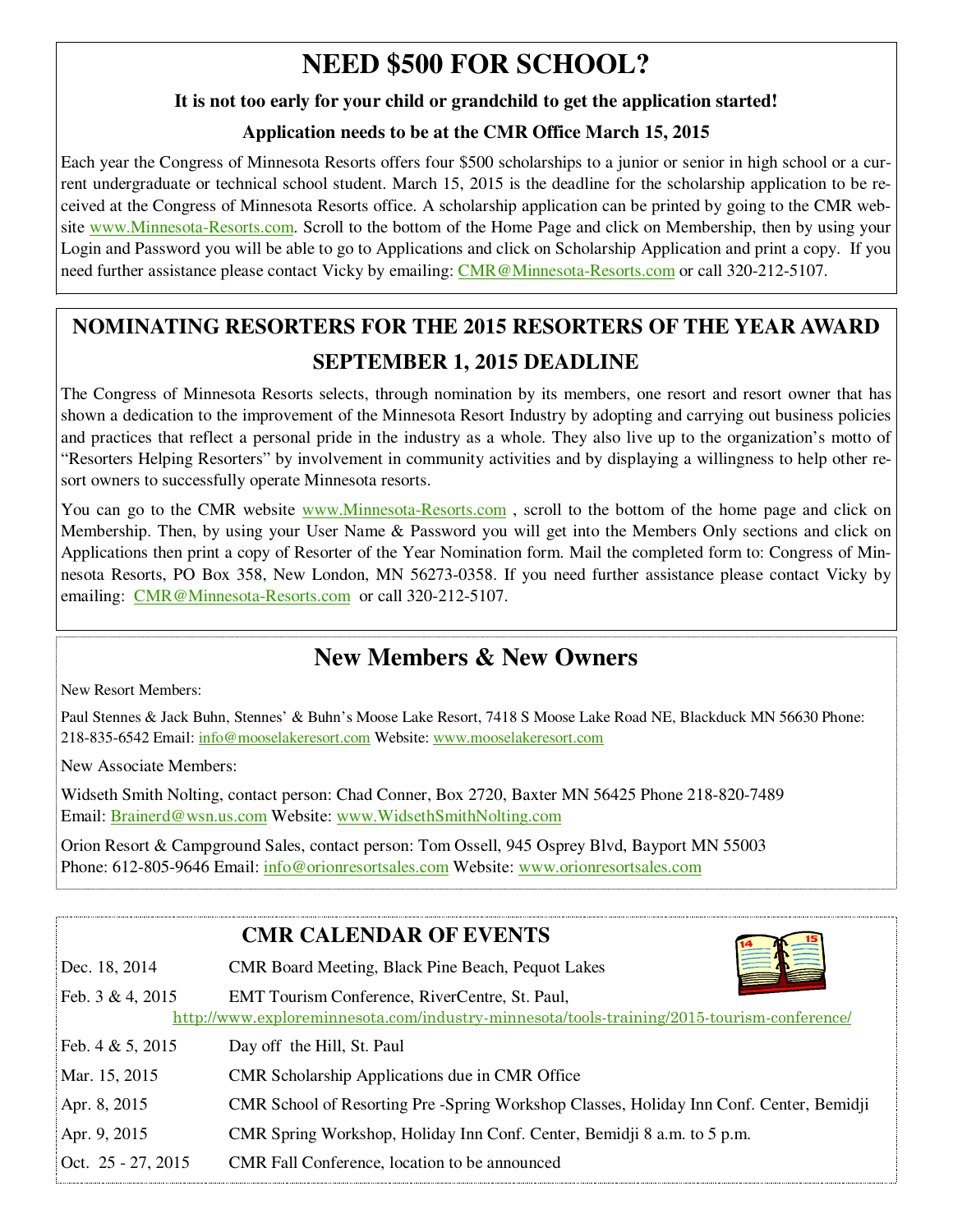# **NEED \$500 FOR SCHOOL?**

### **It is not too early for your child or grandchild to get the application started!**

## **Application needs to be at the CMR Office March 15, 2015**

Each year the Congress of Minnesota Resorts offers four \$500 scholarships to a junior or senior in high school or a current undergraduate or technical school student. March 15, 2015 is the deadline for the scholarship application to be received at the Congress of Minnesota Resorts office. A scholarship application can be printed by going to the CMR website www.Minnesota-Resorts.com. Scroll to the bottom of the Home Page and click on Membership, then by using your Login and Password you will be able to go to Applications and click on Scholarship Application and print a copy. If you need further assistance please contact Vicky by emailing: CMR@Minnesota-Resorts.com or call 320-212-5107.

# **NOMINATING RESORTERS FOR THE 2015 RESORTERS OF THE YEAR AWARD SEPTEMBER 1, 2015 DEADLINE**

The Congress of Minnesota Resorts selects, through nomination by its members, one resort and resort owner that has shown a dedication to the improvement of the Minnesota Resort Industry by adopting and carrying out business policies and practices that reflect a personal pride in the industry as a whole. They also live up to the organization's motto of "Resorters Helping Resorters" by involvement in community activities and by displaying a willingness to help other resort owners to successfully operate Minnesota resorts.

You can go to the CMR website www.Minnesota-Resorts.com, scroll to the bottom of the home page and click on Membership. Then, by using your User Name & Password you will get into the Members Only sections and click on Applications then print a copy of Resorter of the Year Nomination form. Mail the completed form to: Congress of Minnesota Resorts, PO Box 358, New London, MN 56273-0358. If you need further assistance please contact Vicky by emailing: CMR@Minnesota-Resorts.com or call 320-212-5107.

# **New Members & New Owners**

New Resort Members:

Paul Stennes & Jack Buhn, Stennes' & Buhn's Moose Lake Resort, 7418 S Moose Lake Road NE, Blackduck MN 56630 Phone: 218-835-6542 Email: info@mooselakeresort.com Website: www.mooselakeresort.com

New Associate Members:

Widseth Smith Nolting, contact person: Chad Conner, Box 2720, Baxter MN 56425 Phone 218-820-7489 Email: Brainerd@wsn.us.com Website: www.WidsethSmithNolting.com

Orion Resort & Campground Sales, contact person: Tom Ossell, 945 Osprey Blvd, Bayport MN 55003 Phone: 612-805-9646 Email: info@orionresortsales.com Website: www.orionresortsales.com

|                      | <b>CMR CALENDAR OF EVENTS</b>                                                                                                                |
|----------------------|----------------------------------------------------------------------------------------------------------------------------------------------|
| Dec. 18, 2014        | CMR Board Meeting, Black Pine Beach, Pequot Lakes                                                                                            |
| Feb. 3 & 4, 2015     | EMT Tourism Conference, RiverCentre, St. Paul,<br>http://www.exploreminnesota.com/industry-minnesota/tools-training/2015-tourism-conference/ |
| Feb. $4 & 5, 2015$   | Day off the Hill, St. Paul                                                                                                                   |
| Mar. 15, 2015        | CMR Scholarship Applications due in CMR Office                                                                                               |
| Apr. 8, 2015         | CMR School of Resorting Pre-Spring Workshop Classes, Holiday Inn Conf. Center, Bemidji                                                       |
| Apr. 9, 2015         | CMR Spring Workshop, Holiday Inn Conf. Center, Bemidji 8 a.m. to 5 p.m.                                                                      |
| Oct. $25 - 27, 2015$ | CMR Fall Conference, location to be announced                                                                                                |